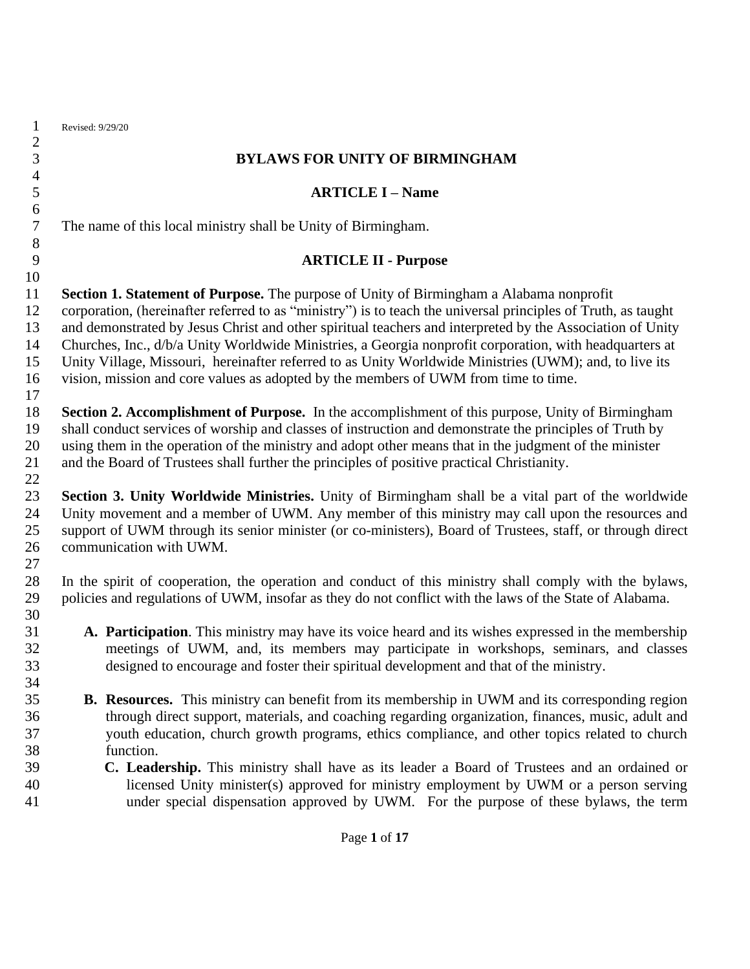| 1<br>$\overline{c}$ | Revised: 9/29/20                                                                                                                                                                                                  |
|---------------------|-------------------------------------------------------------------------------------------------------------------------------------------------------------------------------------------------------------------|
| 3                   | <b>BYLAWS FOR UNITY OF BIRMINGHAM</b>                                                                                                                                                                             |
| $\overline{4}$<br>5 | <b>ARTICLE I - Name</b>                                                                                                                                                                                           |
| 6                   |                                                                                                                                                                                                                   |
| $\tau$<br>$8\,$     | The name of this local ministry shall be Unity of Birmingham.                                                                                                                                                     |
| 9                   | <b>ARTICLE II - Purpose</b>                                                                                                                                                                                       |
| 10                  |                                                                                                                                                                                                                   |
| 11                  | Section 1. Statement of Purpose. The purpose of Unity of Birmingham a Alabama nonprofit                                                                                                                           |
| 12                  | corporation, (hereinafter referred to as "ministry") is to teach the universal principles of Truth, as taught                                                                                                     |
| 13                  | and demonstrated by Jesus Christ and other spiritual teachers and interpreted by the Association of Unity                                                                                                         |
| 14                  | Churches, Inc., d/b/a Unity Worldwide Ministries, a Georgia nonprofit corporation, with headquarters at                                                                                                           |
| 15                  | Unity Village, Missouri, hereinafter referred to as Unity Worldwide Ministries (UWM); and, to live its                                                                                                            |
| 16                  | vision, mission and core values as adopted by the members of UWM from time to time.                                                                                                                               |
| 17<br>18            | Section 2. Accomplishment of Purpose. In the accomplishment of this purpose, Unity of Birmingham                                                                                                                  |
| 19                  | shall conduct services of worship and classes of instruction and demonstrate the principles of Truth by                                                                                                           |
| 20                  | using them in the operation of the ministry and adopt other means that in the judgment of the minister                                                                                                            |
| 21                  | and the Board of Trustees shall further the principles of positive practical Christianity.                                                                                                                        |
| 22                  |                                                                                                                                                                                                                   |
| 23                  | Section 3. Unity Worldwide Ministries. Unity of Birmingham shall be a vital part of the worldwide                                                                                                                 |
| 24                  | Unity movement and a member of UWM. Any member of this ministry may call upon the resources and                                                                                                                   |
| 25                  | support of UWM through its senior minister (or co-ministers), Board of Trustees, staff, or through direct                                                                                                         |
| 26                  | communication with UWM.                                                                                                                                                                                           |
| 27                  |                                                                                                                                                                                                                   |
| 28<br>29            | In the spirit of cooperation, the operation and conduct of this ministry shall comply with the bylaws,<br>policies and regulations of UWM, insofar as they do not conflict with the laws of the State of Alabama. |
| 30                  |                                                                                                                                                                                                                   |
| 31                  | A. Participation. This ministry may have its voice heard and its wishes expressed in the membership                                                                                                               |
| 32                  | meetings of UWM, and, its members may participate in workshops, seminars, and classes                                                                                                                             |
| 33                  | designed to encourage and foster their spiritual development and that of the ministry.                                                                                                                            |
| 34                  |                                                                                                                                                                                                                   |
| 35                  | <b>B.</b> Resources. This ministry can benefit from its membership in UWM and its corresponding region                                                                                                            |
| 36                  | through direct support, materials, and coaching regarding organization, finances, music, adult and                                                                                                                |
| 37                  | youth education, church growth programs, ethics compliance, and other topics related to church                                                                                                                    |
| 38                  | function.                                                                                                                                                                                                         |
| 39<br>40            | C. Leadership. This ministry shall have as its leader a Board of Trustees and an ordained or                                                                                                                      |
| 41                  | licensed Unity minister(s) approved for ministry employment by UWM or a person serving<br>under special dispensation approved by UWM. For the purpose of these bylaws, the term                                   |
|                     |                                                                                                                                                                                                                   |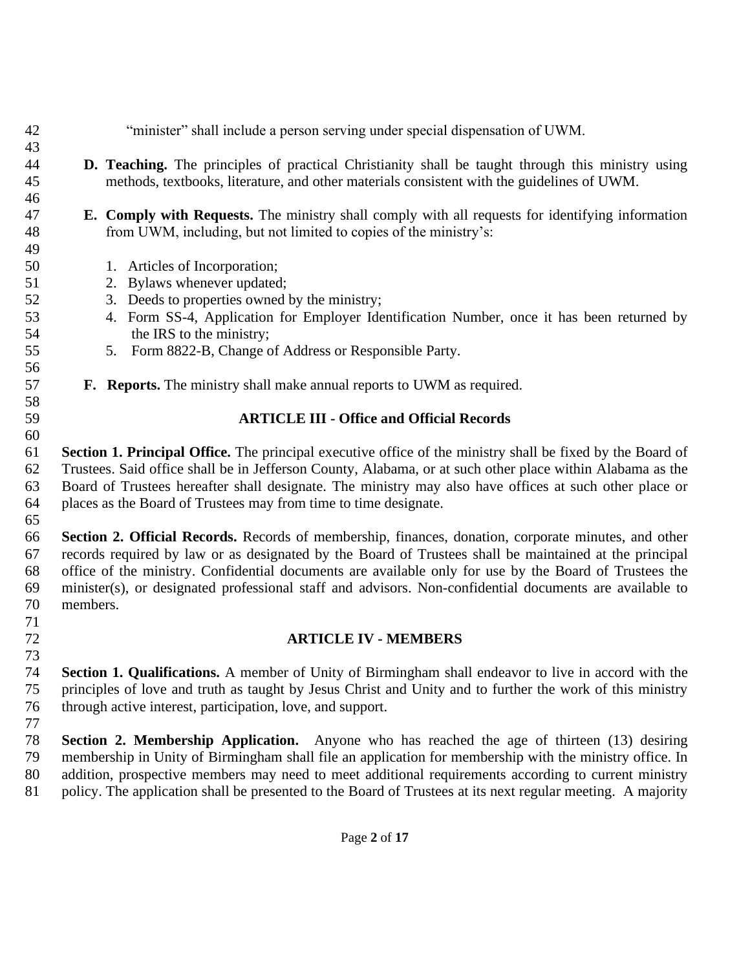- **D. Teaching.** The principles of practical Christianity shall be taught through this ministry using methods, textbooks, literature, and other materials consistent with the guidelines of UWM.
- **E. Comply with Requests.** The ministry shall comply with all requests for identifying information from UWM, including, but not limited to copies of the ministry's:
- 1. Articles of Incorporation;

- 2. Bylaws whenever updated;
- 3. Deeds to properties owned by the ministry;
- 4. Form SS-4, Application for Employer Identification Number, once it has been returned by 54 the IRS to the ministry;
- 5. Form 8822-B, Change of Address or Responsible Party.
- **F. Reports.** The ministry shall make annual reports to UWM as required.

"minister" shall include a person serving under special dispensation of UWM.

#### **ARTICLE III - Office and Official Records**

 **Section 1. Principal Office.** The principal executive office of the ministry shall be fixed by the Board of Trustees. Said office shall be in Jefferson County, Alabama, or at such other place within Alabama as the Board of Trustees hereafter shall designate. The ministry may also have offices at such other place or places as the Board of Trustees may from time to time designate.

 **Section 2. Official Records.** Records of membership, finances, donation, corporate minutes, and other records required by law or as designated by the Board of Trustees shall be maintained at the principal office of the ministry. Confidential documents are available only for use by the Board of Trustees the minister(s), or designated professional staff and advisors. Non-confidential documents are available to members.

**ARTICLE IV - MEMBERS**

 **Section 1. Qualifications.** A member of Unity of Birmingham shall endeavor to live in accord with the principles of love and truth as taught by Jesus Christ and Unity and to further the work of this ministry through active interest, participation, love, and support.

 **Section 2. Membership Application.** Anyone who has reached the age of thirteen (13) desiring membership in Unity of Birmingham shall file an application for membership with the ministry office. In addition, prospective members may need to meet additional requirements according to current ministry policy. The application shall be presented to the Board of Trustees at its next regular meeting. A majority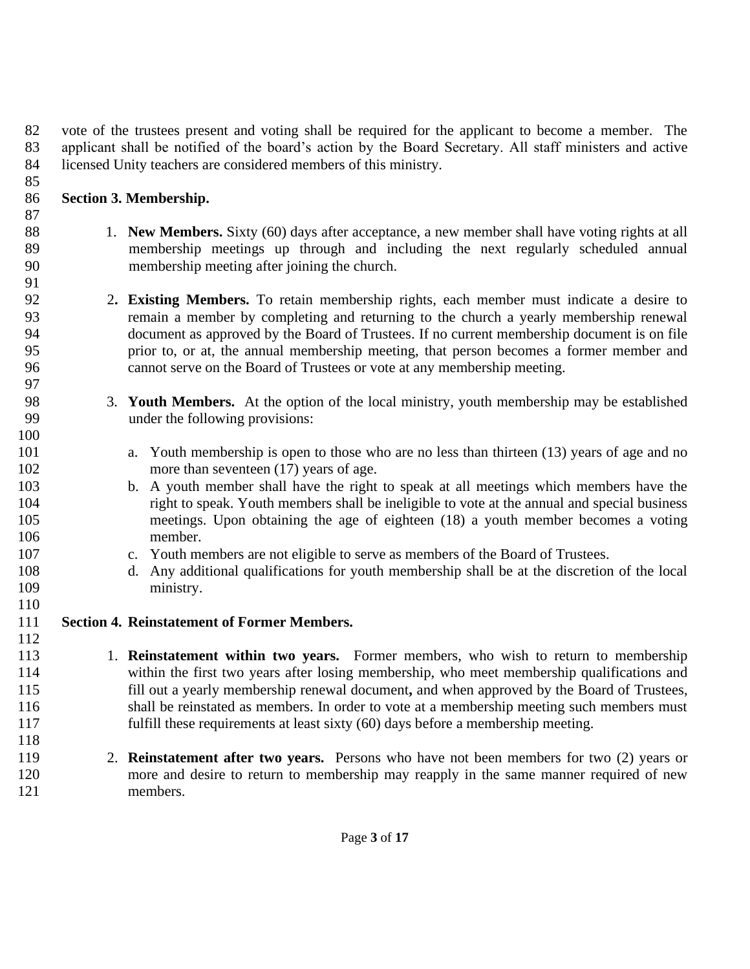vote of the trustees present and voting shall be required for the applicant to become a member. The applicant shall be notified of the board's action by the Board Secretary. All staff ministers and active licensed Unity teachers are considered members of this ministry.

## **Section 3. Membership.**

- 1. **New Members.** Sixty (60) days after acceptance, a new member shall have voting rights at all 89 membership meetings up through and including the next regularly scheduled annual 90 membership meeting after joining the church.
- 2**. Existing Members.** To retain membership rights, each member must indicate a desire to remain a member by completing and returning to the church a yearly membership renewal document as approved by the Board of Trustees. If no current membership document is on file prior to, or at, the annual membership meeting, that person becomes a former member and cannot serve on the Board of Trustees or vote at any membership meeting.
- 3. **Youth Members.** At the option of the local ministry, youth membership may be established under the following provisions:
- a. Youth membership is open to those who are no less than thirteen (13) years of age and no 102 more than seventeen (17) years of age.
- b. A youth member shall have the right to speak at all meetings which members have the right to speak. Youth members shall be ineligible to vote at the annual and special business meetings. Upon obtaining the age of eighteen (18) a youth member becomes a voting member.
- c. Youth members are not eligible to serve as members of the Board of Trustees.
- d. Any additional qualifications for youth membership shall be at the discretion of the local ministry.
- **Section 4. Reinstatement of Former Members.**
- 1. **Reinstatement within two years.** Former members, who wish to return to membership within the first two years after losing membership, who meet membership qualifications and fill out a yearly membership renewal document**,** and when approved by the Board of Trustees, shall be reinstated as members. In order to vote at a membership meeting such members must fulfill these requirements at least sixty (60) days before a membership meeting.
- 2. **Reinstatement after two years.** Persons who have not been members for two (2) years or more and desire to return to membership may reapply in the same manner required of new members.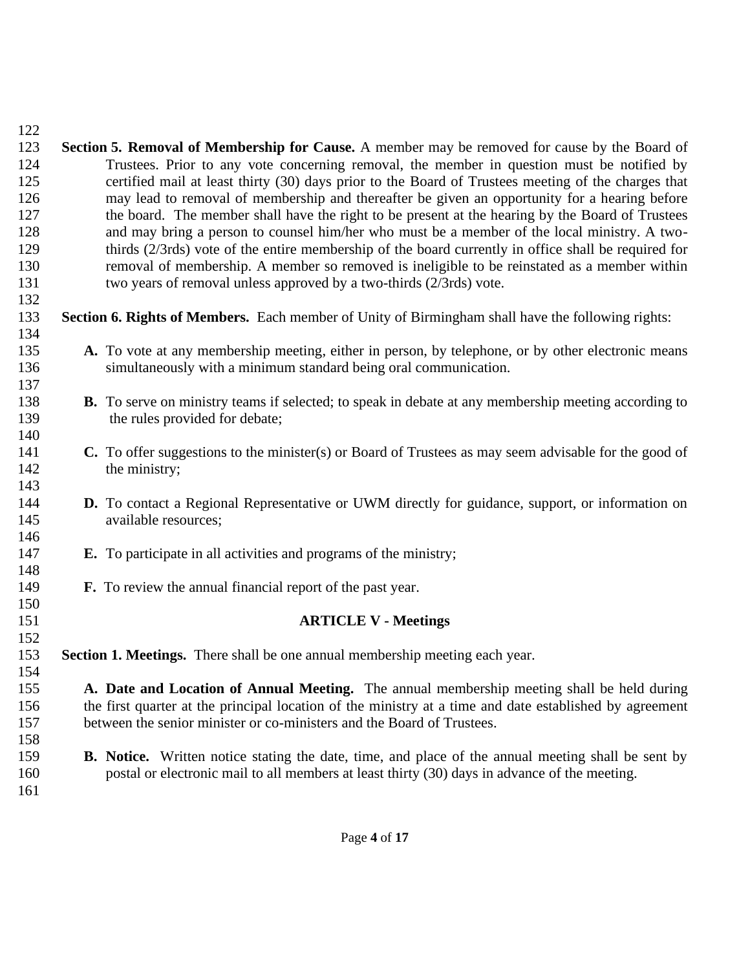| 123        | Section 5. Removal of Membership for Cause. A member may be removed for cause by the Board of               |
|------------|-------------------------------------------------------------------------------------------------------------|
| 124        | Trustees. Prior to any vote concerning removal, the member in question must be notified by                  |
| 125        | certified mail at least thirty (30) days prior to the Board of Trustees meeting of the charges that         |
| 126        | may lead to removal of membership and thereafter be given an opportunity for a hearing before               |
| 127        | the board. The member shall have the right to be present at the hearing by the Board of Trustees            |
| 128        | and may bring a person to counsel him/her who must be a member of the local ministry. A two-                |
| 129        | thirds (2/3rds) vote of the entire membership of the board currently in office shall be required for        |
| 130        | removal of membership. A member so removed is ineligible to be reinstated as a member within                |
| 131        | two years of removal unless approved by a two-thirds (2/3rds) vote.                                         |
| 132        |                                                                                                             |
| 133<br>134 | Section 6. Rights of Members. Each member of Unity of Birmingham shall have the following rights:           |
| 135        | A. To vote at any membership meeting, either in person, by telephone, or by other electronic means          |
| 136        | simultaneously with a minimum standard being oral communication.                                            |
| 137        |                                                                                                             |
| 138        | <b>B.</b> To serve on ministry teams if selected; to speak in debate at any membership meeting according to |
| 139        | the rules provided for debate;                                                                              |
| 140        |                                                                                                             |
| 141        | C. To offer suggestions to the minister(s) or Board of Trustees as may seem advisable for the good of       |
| 142        | the ministry;                                                                                               |
| 143        |                                                                                                             |
| 144        | <b>D.</b> To contact a Regional Representative or UWM directly for guidance, support, or information on     |
| 145        | available resources;                                                                                        |
| 146        |                                                                                                             |
| 147        | <b>E.</b> To participate in all activities and programs of the ministry;                                    |
| 148        |                                                                                                             |
| 149        | <b>F.</b> To review the annual financial report of the past year.                                           |
| 150        |                                                                                                             |
| 151        | <b>ARTICLE V - Meetings</b>                                                                                 |
| 152        |                                                                                                             |
| 153        | Section 1. Meetings. There shall be one annual membership meeting each year.                                |
| 154        |                                                                                                             |
| 155        | A. Date and Location of Annual Meeting. The annual membership meeting shall be held during                  |
| 156        | the first quarter at the principal location of the ministry at a time and date established by agreement     |
| 157        | between the senior minister or co-ministers and the Board of Trustees.                                      |
| 158        |                                                                                                             |
| 159        | <b>B.</b> Notice. Written notice stating the date, time, and place of the annual meeting shall be sent by   |
| 160        | postal or electronic mail to all members at least thirty (30) days in advance of the meeting.               |
| 161        |                                                                                                             |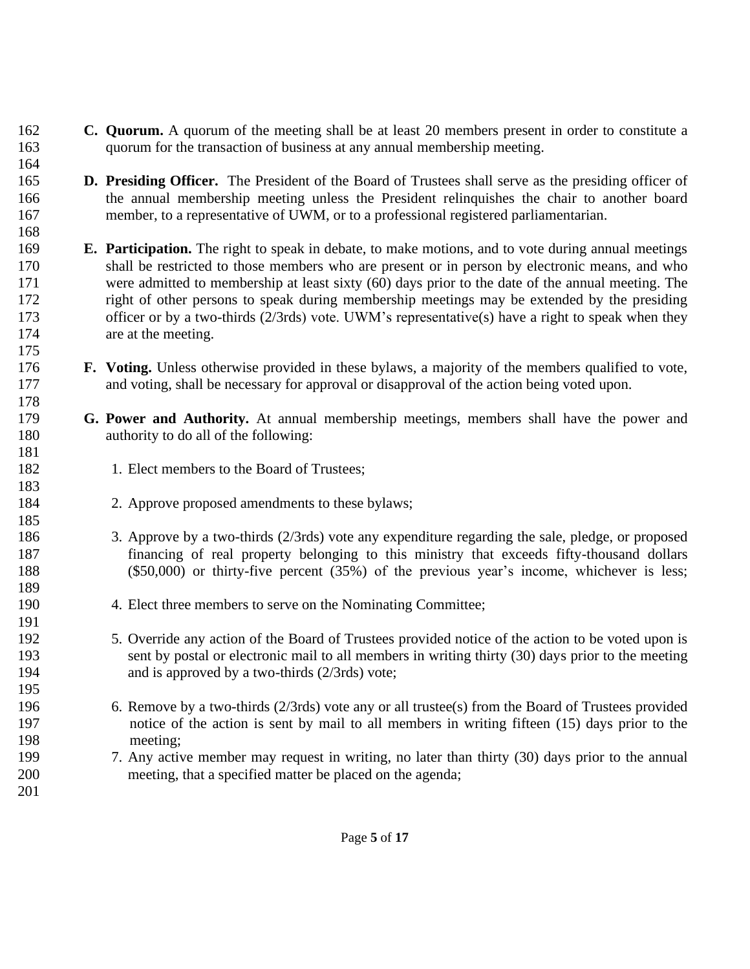- **C. Quorum.** A quorum of the meeting shall be at least 20 members present in order to constitute a quorum for the transaction of business at any annual membership meeting.
- **D. Presiding Officer.** The President of the Board of Trustees shall serve as the presiding officer of the annual membership meeting unless the President relinquishes the chair to another board member, to a representative of UWM, or to a professional registered parliamentarian.
- **E. Participation.** The right to speak in debate, to make motions, and to vote during annual meetings shall be restricted to those members who are present or in person by electronic means, and who were admitted to membership at least sixty (60) days prior to the date of the annual meeting. The right of other persons to speak during membership meetings may be extended by the presiding officer or by a two-thirds (2/3rds) vote. UWM's representative(s) have a right to speak when they 174 are at the meeting.
- **F. Voting.** Unless otherwise provided in these bylaws, a majority of the members qualified to vote, and voting, shall be necessary for approval or disapproval of the action being voted upon.
- **G. Power and Authority.** At annual membership meetings, members shall have the power and authority to do all of the following:
- 182 1. Elect members to the Board of Trustees;

- 2. Approve proposed amendments to these bylaws;
- 3. Approve by a two-thirds (2/3rds) vote any expenditure regarding the sale, pledge, or proposed financing of real property belonging to this ministry that exceeds fifty-thousand dollars (\$50,000) or thirty-five percent (35%) of the previous year's income, whichever is less;
- 4. Elect three members to serve on the Nominating Committee;
- 5. Override any action of the Board of Trustees provided notice of the action to be voted upon is sent by postal or electronic mail to all members in writing thirty (30) days prior to the meeting and is approved by a two-thirds (2/3rds) vote;
- 6. Remove by a two-thirds (2/3rds) vote any or all trustee(s) from the Board of Trustees provided 197 notice of the action is sent by mail to all members in writing fifteen (15) days prior to the 198 meeting;
- 7. Any active member may request in writing, no later than thirty (30) days prior to the annual meeting, that a specified matter be placed on the agenda;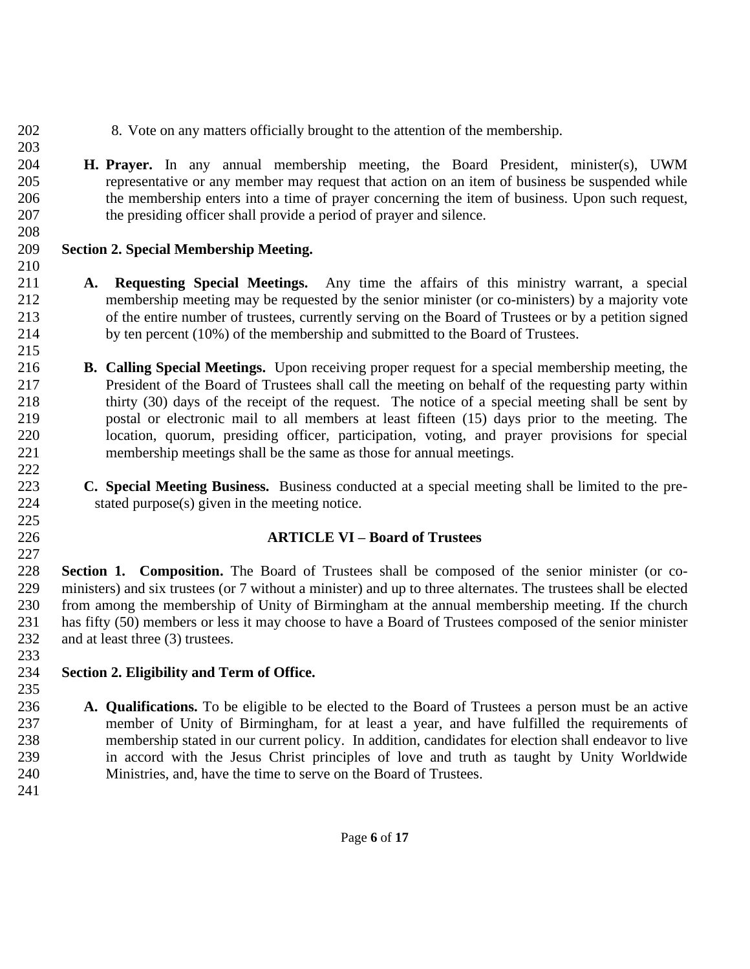- 8. Vote on any matters officially brought to the attention of the membership.
- **H. Prayer.** In any annual membership meeting, the Board President, minister(s), UWM representative or any member may request that action on an item of business be suspended while the membership enters into a time of prayer concerning the item of business. Upon such request, the presiding officer shall provide a period of prayer and silence.
- **Section 2. Special Membership Meeting.**
- **A. Requesting Special Meetings.** Any time the affairs of this ministry warrant, a special membership meeting may be requested by the senior minister (or co-ministers) by a majority vote of the entire number of trustees, currently serving on the Board of Trustees or by a petition signed by ten percent (10%) of the membership and submitted to the Board of Trustees.
- **B. Calling Special Meetings.** Upon receiving proper request for a special membership meeting, the President of the Board of Trustees shall call the meeting on behalf of the requesting party within thirty (30) days of the receipt of the request. The notice of a special meeting shall be sent by postal or electronic mail to all members at least fifteen (15) days prior to the meeting. The location, quorum, presiding officer, participation, voting, and prayer provisions for special membership meetings shall be the same as those for annual meetings.
- **C. Special Meeting Business.** Business conducted at a special meeting shall be limited to the pre-stated purpose(s) given in the meeting notice.

# **ARTICLE VI – Board of Trustees**

 **Section 1. Composition.** The Board of Trustees shall be composed of the senior minister (or co- ministers) and six trustees (or 7 without a minister) and up to three alternates. The trustees shall be elected from among the membership of Unity of Birmingham at the annual membership meeting. If the church has fifty (50) members or less it may choose to have a Board of Trustees composed of the senior minister 232 and at least three (3) trustees. 

# **Section 2. Eligibility and Term of Office.**

- **A. Qualifications.** To be eligible to be elected to the Board of Trustees a person must be an active member of Unity of Birmingham, for at least a year, and have fulfilled the requirements of membership stated in our current policy. In addition, candidates for election shall endeavor to live in accord with the Jesus Christ principles of love and truth as taught by Unity Worldwide Ministries, and, have the time to serve on the Board of Trustees.
-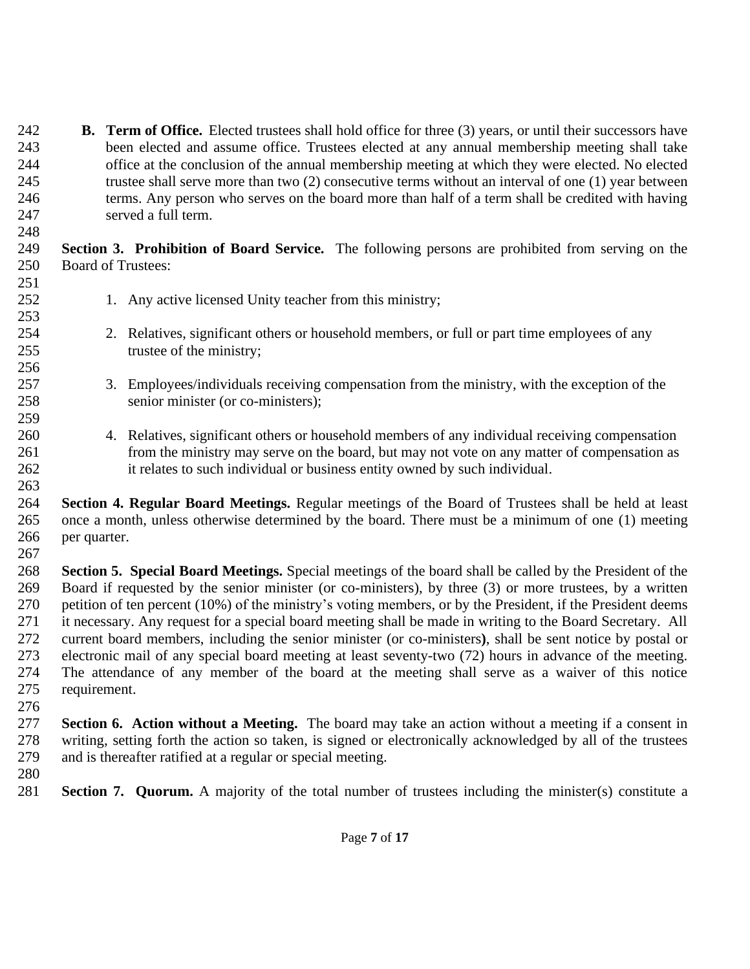- **B. Term of Office.** Elected trustees shall hold office for three (3) years, or until their successors have been elected and assume office. Trustees elected at any annual membership meeting shall take office at the conclusion of the annual membership meeting at which they were elected. No elected trustee shall serve more than two (2) consecutive terms without an interval of one (1) year between terms. Any person who serves on the board more than half of a term shall be credited with having served a full term.
- **Section 3. Prohibition of Board Service.** The following persons are prohibited from serving on the Board of Trustees:
- 252 1. Any active licensed Unity teacher from this ministry;
- 2. Relatives, significant others or household members, or full or part time employees of any 255 trustee of the ministry;
- 3. Employees/individuals receiving compensation from the ministry, with the exception of the senior minister (or co-ministers);
- 4. Relatives, significant others or household members of any individual receiving compensation from the ministry may serve on the board, but may not vote on any matter of compensation as it relates to such individual or business entity owned by such individual.
- **Section 4. Regular Board Meetings.** Regular meetings of the Board of Trustees shall be held at least once a month, unless otherwise determined by the board. There must be a minimum of one (1) meeting per quarter.
- **Section 5. Special Board Meetings.** Special meetings of the board shall be called by the President of the Board if requested by the senior minister (or co-ministers), by three (3) or more trustees, by a written petition of ten percent (10%) of the ministry's voting members, or by the President, if the President deems it necessary. Any request for a special board meeting shall be made in writing to the Board Secretary. All current board members, including the senior minister (or co-ministers**)**, shall be sent notice by postal or electronic mail of any special board meeting at least seventy-two (72) hours in advance of the meeting. The attendance of any member of the board at the meeting shall serve as a waiver of this notice requirement.
- 

- **Section 6. Action without a Meeting.** The board may take an action without a meeting if a consent in writing, setting forth the action so taken, is signed or electronically acknowledged by all of the trustees and is thereafter ratified at a regular or special meeting.
- 

**Section 7. Quorum.** A majority of the total number of trustees including the minister(s) constitute a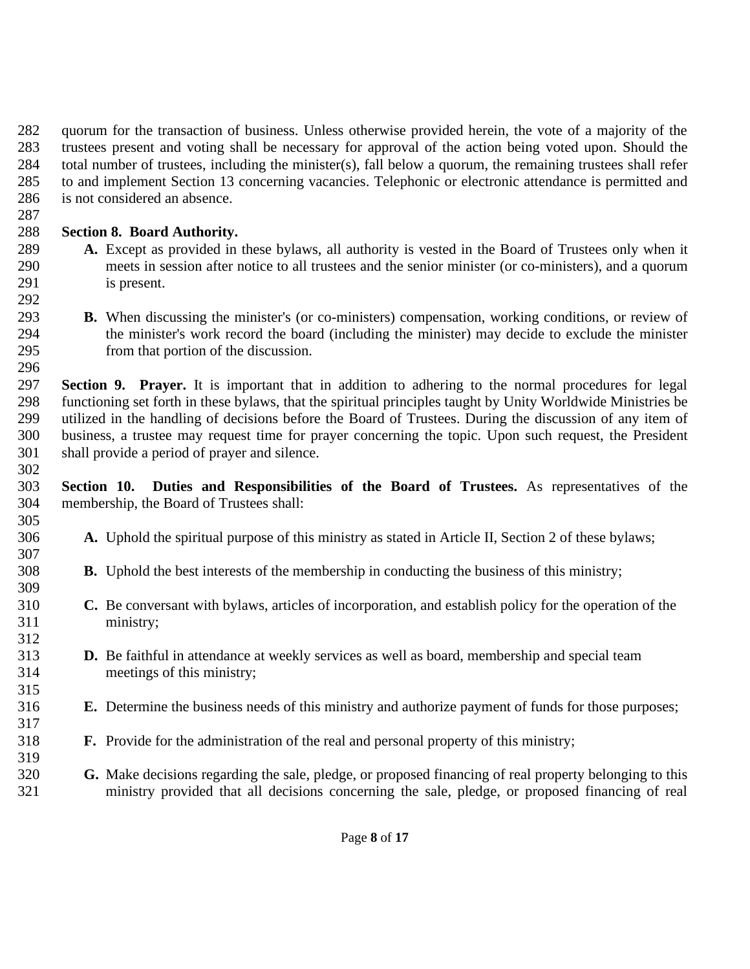quorum for the transaction of business. Unless otherwise provided herein, the vote of a majority of the trustees present and voting shall be necessary for approval of the action being voted upon. Should the total number of trustees, including the minister(s), fall below a quorum, the remaining trustees shall refer to and implement Section 13 concerning vacancies. Telephonic or electronic attendance is permitted and is not considered an absence.

# **Section 8. Board Authority.**

- **A.** Except as provided in these bylaws, all authority is vested in the Board of Trustees only when it meets in session after notice to all trustees and the senior minister (or co-ministers), and a quorum is present.
- 

 **B.** When discussing the minister's (or co-ministers) compensation, working conditions, or review of the minister's work record the board (including the minister) may decide to exclude the minister from that portion of the discussion.

 **Section 9. Prayer.** It is important that in addition to adhering to the normal procedures for legal functioning set forth in these bylaws, that the spiritual principles taught by Unity Worldwide Ministries be utilized in the handling of decisions before the Board of Trustees. During the discussion of any item of business, a trustee may request time for prayer concerning the topic. Upon such request, the President shall provide a period of prayer and silence.

 **Section 10. Duties and Responsibilities of the Board of Trustees.** As representatives of the membership, the Board of Trustees shall: 

- **A.** Uphold the spiritual purpose of this ministry as stated in Article II, Section 2 of these bylaws;
- **B.** Uphold the best interests of the membership in conducting the business of this ministry;
- **C.** Be conversant with bylaws, articles of incorporation, and establish policy for the operation of the ministry;
- **D.** Be faithful in attendance at weekly services as well as board, membership and special team meetings of this ministry;
- **E.** Determine the business needs of this ministry and authorize payment of funds for those purposes;
- **F.** Provide for the administration of the real and personal property of this ministry;
- **G.** Make decisions regarding the sale, pledge, or proposed financing of real property belonging to this ministry provided that all decisions concerning the sale, pledge, or proposed financing of real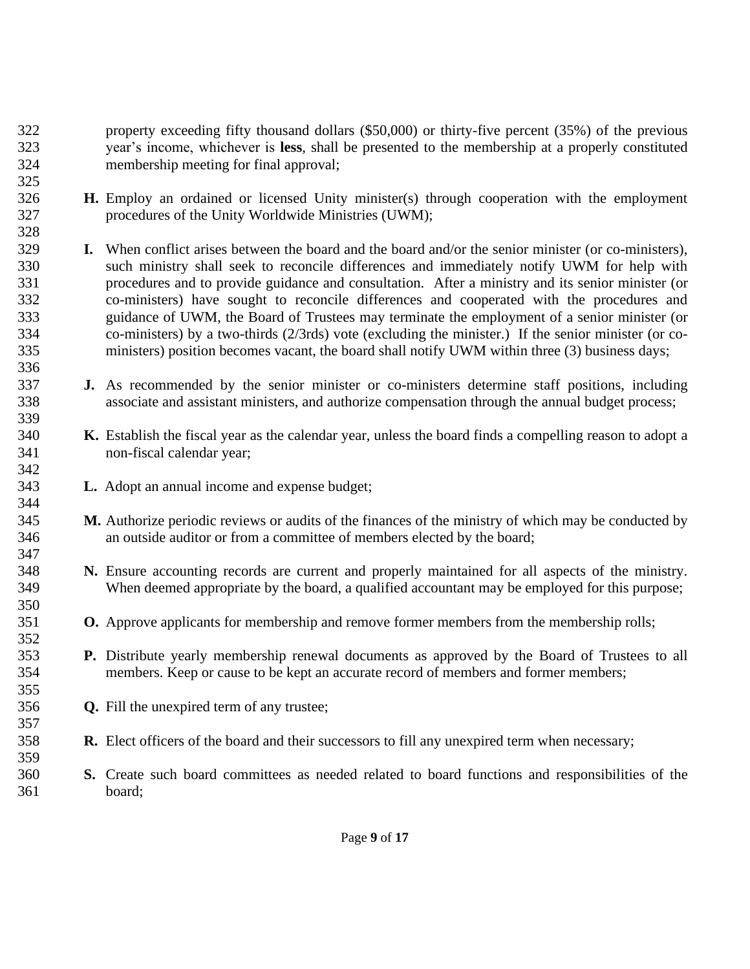- property exceeding fifty thousand dollars (\$50,000) or thirty-five percent (35%) of the previous year's income, whichever is **less**, shall be presented to the membership at a properly constituted membership meeting for final approval;
- **H.** Employ an ordained or licensed Unity minister(s) through cooperation with the employment procedures of the Unity Worldwide Ministries (UWM);
- **I.** When conflict arises between the board and the board and/or the senior minister (or co-ministers), such ministry shall seek to reconcile differences and immediately notify UWM for help with procedures and to provide guidance and consultation. After a ministry and its senior minister (or co-ministers) have sought to reconcile differences and cooperated with the procedures and guidance of UWM, the Board of Trustees may terminate the employment of a senior minister (or co-ministers) by a two-thirds (2/3rds) vote (excluding the minister.) If the senior minister (or co-ministers) position becomes vacant, the board shall notify UWM within three (3) business days;
- **J.** As recommended by the senior minister or co-ministers determine staff positions, including associate and assistant ministers, and authorize compensation through the annual budget process;
- **K.** Establish the fiscal year as the calendar year, unless the board finds a compelling reason to adopt a non-fiscal calendar year;
- **L.** Adopt an annual income and expense budget;

- **M.** Authorize periodic reviews or audits of the finances of the ministry of which may be conducted by an outside auditor or from a committee of members elected by the board;
- **N.** Ensure accounting records are current and properly maintained for all aspects of the ministry. When deemed appropriate by the board, a qualified accountant may be employed for this purpose;
- **O.** Approve applicants for membership and remove former members from the membership rolls;
- **P.** Distribute yearly membership renewal documents as approved by the Board of Trustees to all members. Keep or cause to be kept an accurate record of members and former members;
- **Q.** Fill the unexpired term of any trustee;
- **R.** Elect officers of the board and their successors to fill any unexpired term when necessary;
- **S.** Create such board committees as needed related to board functions and responsibilities of the board;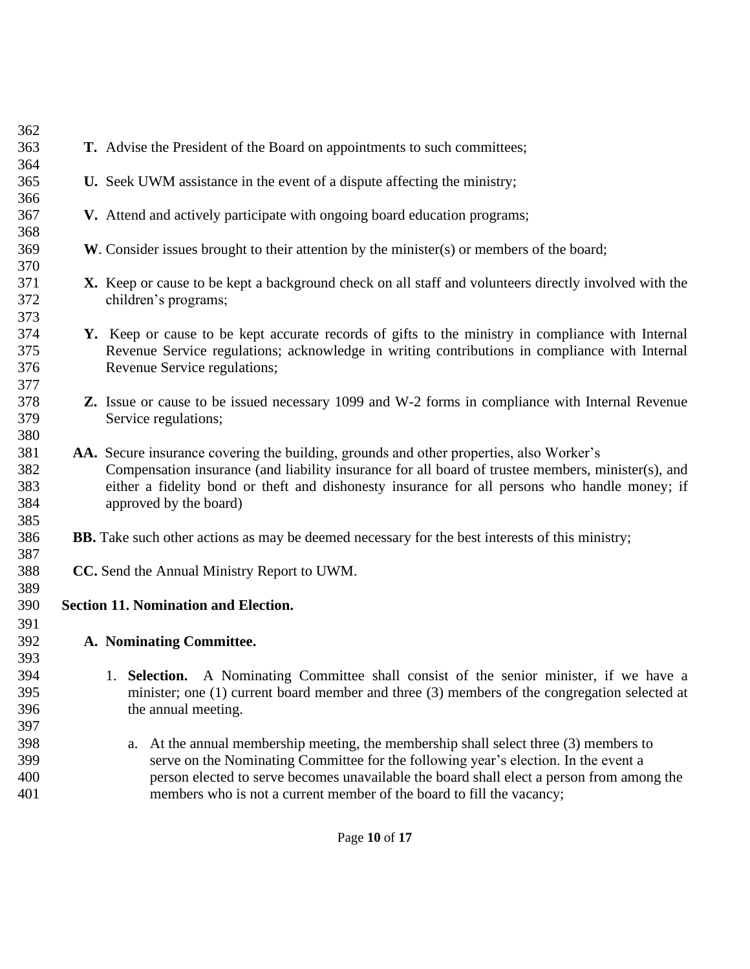| 362        |                                                                                                        |  |
|------------|--------------------------------------------------------------------------------------------------------|--|
| 363        | T. Advise the President of the Board on appointments to such committees;                               |  |
| 364        |                                                                                                        |  |
| 365        | U. Seek UWM assistance in the event of a dispute affecting the ministry;                               |  |
| 366        |                                                                                                        |  |
| 367        | V. Attend and actively participate with ongoing board education programs;                              |  |
| 368        |                                                                                                        |  |
| 369        | W. Consider issues brought to their attention by the minister(s) or members of the board;              |  |
| 370        |                                                                                                        |  |
| 371        | X. Keep or cause to be kept a background check on all staff and volunteers directly involved with the  |  |
| 372        | children's programs;                                                                                   |  |
| 373        |                                                                                                        |  |
| 374        | Y. Keep or cause to be kept accurate records of gifts to the ministry in compliance with Internal      |  |
| 375        | Revenue Service regulations; acknowledge in writing contributions in compliance with Internal          |  |
| 376        | Revenue Service regulations;                                                                           |  |
| 377        |                                                                                                        |  |
| 378        | <b>Z.</b> Issue or cause to be issued necessary 1099 and W-2 forms in compliance with Internal Revenue |  |
| 379        | Service regulations;                                                                                   |  |
| 380        |                                                                                                        |  |
| 381        | AA. Secure insurance covering the building, grounds and other properties, also Worker's                |  |
| 382        | Compensation insurance (and liability insurance for all board of trustee members, minister(s), and     |  |
| 383<br>384 | either a fidelity bond or theft and dishonesty insurance for all persons who handle money; if          |  |
| 385        | approved by the board)                                                                                 |  |
| 386        | <b>BB.</b> Take such other actions as may be deemed necessary for the best interests of this ministry; |  |
| 387        |                                                                                                        |  |
| 388        | CC. Send the Annual Ministry Report to UWM.                                                            |  |
| 389        |                                                                                                        |  |
| 390        | <b>Section 11. Nomination and Election.</b>                                                            |  |
| 391        |                                                                                                        |  |
| 392        | A. Nominating Committee.                                                                               |  |
| 393        |                                                                                                        |  |
| 394        | Selection. A Nominating Committee shall consist of the senior minister, if we have a                   |  |
| 395        | minister; one (1) current board member and three (3) members of the congregation selected at           |  |
| 396        | the annual meeting.                                                                                    |  |
| 397        |                                                                                                        |  |
| 398        | At the annual membership meeting, the membership shall select three (3) members to<br>a.               |  |
| 399        | serve on the Nominating Committee for the following year's election. In the event a                    |  |
| 400        | person elected to serve becomes unavailable the board shall elect a person from among the              |  |
| 401        | members who is not a current member of the board to fill the vacancy;                                  |  |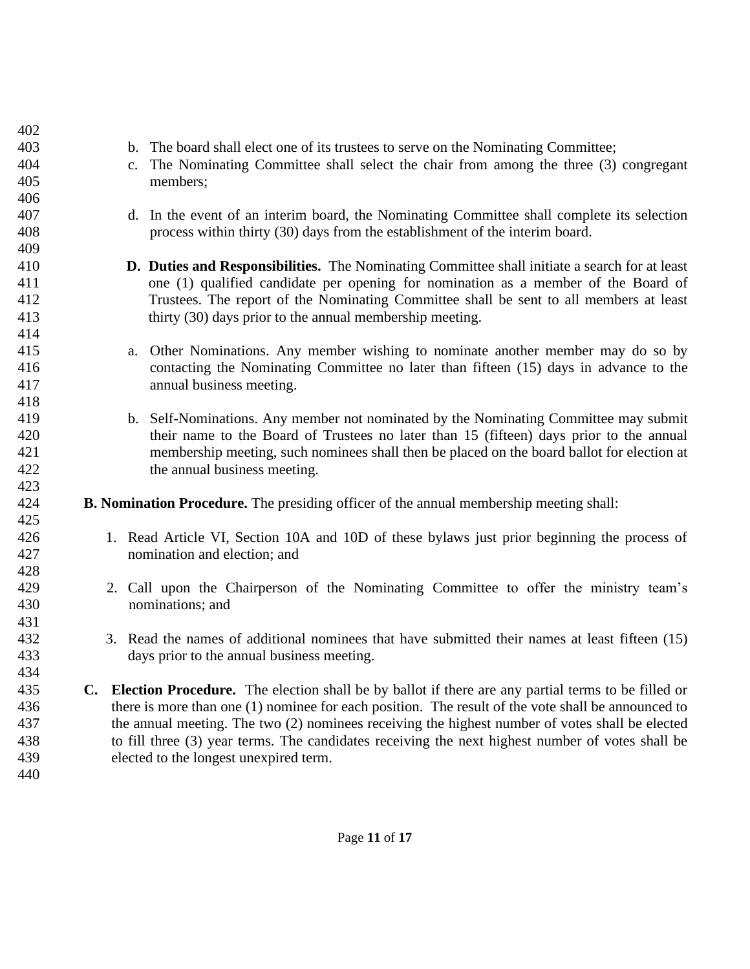| 402 |             |                                                                                                       |
|-----|-------------|-------------------------------------------------------------------------------------------------------|
| 403 |             | b. The board shall elect one of its trustees to serve on the Nominating Committee;                    |
| 404 | $c_{\cdot}$ | The Nominating Committee shall select the chair from among the three (3) congregant                   |
| 405 |             | members;                                                                                              |
| 406 |             |                                                                                                       |
| 407 |             | d. In the event of an interim board, the Nominating Committee shall complete its selection            |
| 408 |             | process within thirty (30) days from the establishment of the interim board.                          |
| 409 |             |                                                                                                       |
| 410 |             | D. Duties and Responsibilities. The Nominating Committee shall initiate a search for at least         |
| 411 |             | one (1) qualified candidate per opening for nomination as a member of the Board of                    |
| 412 |             | Trustees. The report of the Nominating Committee shall be sent to all members at least                |
| 413 |             | thirty (30) days prior to the annual membership meeting.                                              |
| 414 |             |                                                                                                       |
| 415 | a.          | Other Nominations. Any member wishing to nominate another member may do so by                         |
| 416 |             | contacting the Nominating Committee no later than fifteen (15) days in advance to the                 |
| 417 |             | annual business meeting.                                                                              |
| 418 |             |                                                                                                       |
| 419 |             | b. Self-Nominations. Any member not nominated by the Nominating Committee may submit                  |
| 420 |             | their name to the Board of Trustees no later than 15 (fifteen) days prior to the annual               |
| 421 |             | membership meeting, such nominees shall then be placed on the board ballot for election at            |
| 422 |             | the annual business meeting.                                                                          |
| 423 |             |                                                                                                       |
| 424 |             | <b>B. Nomination Procedure.</b> The presiding officer of the annual membership meeting shall:         |
| 425 |             |                                                                                                       |
| 426 |             | 1. Read Article VI, Section 10A and 10D of these bylaws just prior beginning the process of           |
| 427 |             | nomination and election; and                                                                          |
| 428 |             |                                                                                                       |
| 429 |             | 2. Call upon the Chairperson of the Nominating Committee to offer the ministry team's                 |
| 430 |             | nominations; and                                                                                      |
| 431 |             |                                                                                                       |
| 432 |             | 3. Read the names of additional nominees that have submitted their names at least fifteen (15)        |
| 433 |             | days prior to the annual business meeting.                                                            |
| 434 |             |                                                                                                       |
| 435 |             | C. Election Procedure. The election shall be by ballot if there are any partial terms to be filled or |
| 436 |             | there is more than one (1) nominee for each position. The result of the vote shall be announced to    |
| 437 |             | the annual meeting. The two (2) nominees receiving the highest number of votes shall be elected       |
| 438 |             | to fill three (3) year terms. The candidates receiving the next highest number of votes shall be      |
| 439 |             | elected to the longest unexpired term.                                                                |
| 440 |             |                                                                                                       |
|     |             |                                                                                                       |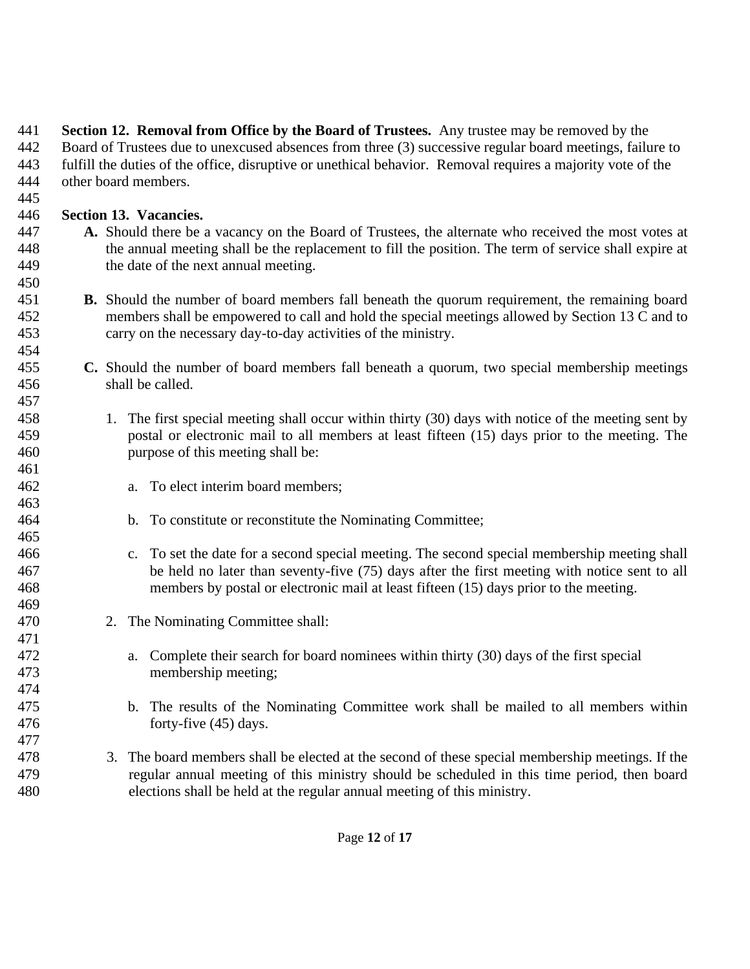**Section 12. Removal from Office by the Board of Trustees.** Any trustee may be removed by the Board of Trustees due to unexcused absences from three (3) successive regular board meetings, failure to fulfill the duties of the office, disruptive or unethical behavior. Removal requires a majority vote of the other board members.

## **Section 13. Vacancies.**

- **A.** Should there be a vacancy on the Board of Trustees, the alternate who received the most votes at the annual meeting shall be the replacement to fill the position. The term of service shall expire at the date of the next annual meeting.
- **B.** Should the number of board members fall beneath the quorum requirement, the remaining board members shall be empowered to call and hold the special meetings allowed by Section 13 C and to carry on the necessary day-to-day activities of the ministry.
- **C.** Should the number of board members fall beneath a quorum, two special membership meetings shall be called.
- 1. The first special meeting shall occur within thirty (30) days with notice of the meeting sent by postal or electronic mail to all members at least fifteen (15) days prior to the meeting. The purpose of this meeting shall be:
- a. To elect interim board members;
- b. To constitute or reconstitute the Nominating Committee;
- c. To set the date for a second special meeting. The second special membership meeting shall be held no later than seventy-five (75) days after the first meeting with notice sent to all members by postal or electronic mail at least fifteen (15) days prior to the meeting.
- 2. The Nominating Committee shall:
- a. Complete their search for board nominees within thirty (30) days of the first special 473 membership meeting;
- b. The results of the Nominating Committee work shall be mailed to all members within forty-five (45) days.
- 3. The board members shall be elected at the second of these special membership meetings. If the regular annual meeting of this ministry should be scheduled in this time period, then board elections shall be held at the regular annual meeting of this ministry.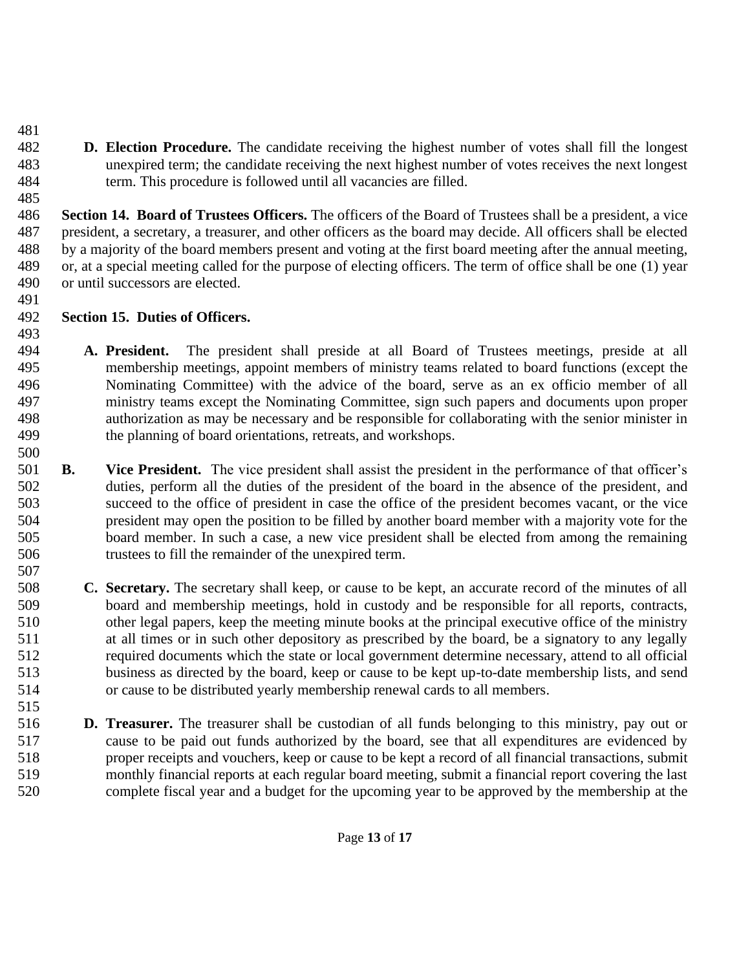**D. Election Procedure.** The candidate receiving the highest number of votes shall fill the longest unexpired term; the candidate receiving the next highest number of votes receives the next longest term. This procedure is followed until all vacancies are filled.

 **Section 14. Board of Trustees Officers.** The officers of the Board of Trustees shall be a president, a vice president, a secretary, a treasurer, and other officers as the board may decide. All officers shall be elected by a majority of the board members present and voting at the first board meeting after the annual meeting, or, at a special meeting called for the purpose of electing officers. The term of office shall be one (1) year or until successors are elected.

- **Section 15. Duties of Officers.**
- 

 **A. President.** The president shall preside at all Board of Trustees meetings, preside at all membership meetings, appoint members of ministry teams related to board functions (except the Nominating Committee) with the advice of the board, serve as an ex officio member of all ministry teams except the Nominating Committee, sign such papers and documents upon proper authorization as may be necessary and be responsible for collaborating with the senior minister in the planning of board orientations, retreats, and workshops.

- 
- **B. Vice President.** The vice president shall assist the president in the performance of that officer's duties, perform all the duties of the president of the board in the absence of the president, and succeed to the office of president in case the office of the president becomes vacant, or the vice president may open the position to be filled by another board member with a majority vote for the board member. In such a case, a new vice president shall be elected from among the remaining trustees to fill the remainder of the unexpired term.
- **C. Secretary.** The secretary shall keep, or cause to be kept, an accurate record of the minutes of all board and membership meetings, hold in custody and be responsible for all reports, contracts, other legal papers, keep the meeting minute books at the principal executive office of the ministry at all times or in such other depository as prescribed by the board, be a signatory to any legally required documents which the state or local government determine necessary, attend to all official business as directed by the board, keep or cause to be kept up-to-date membership lists, and send or cause to be distributed yearly membership renewal cards to all members.
- **D. Treasurer.** The treasurer shall be custodian of all funds belonging to this ministry, pay out or cause to be paid out funds authorized by the board, see that all expenditures are evidenced by proper receipts and vouchers, keep or cause to be kept a record of all financial transactions, submit monthly financial reports at each regular board meeting, submit a financial report covering the last complete fiscal year and a budget for the upcoming year to be approved by the membership at the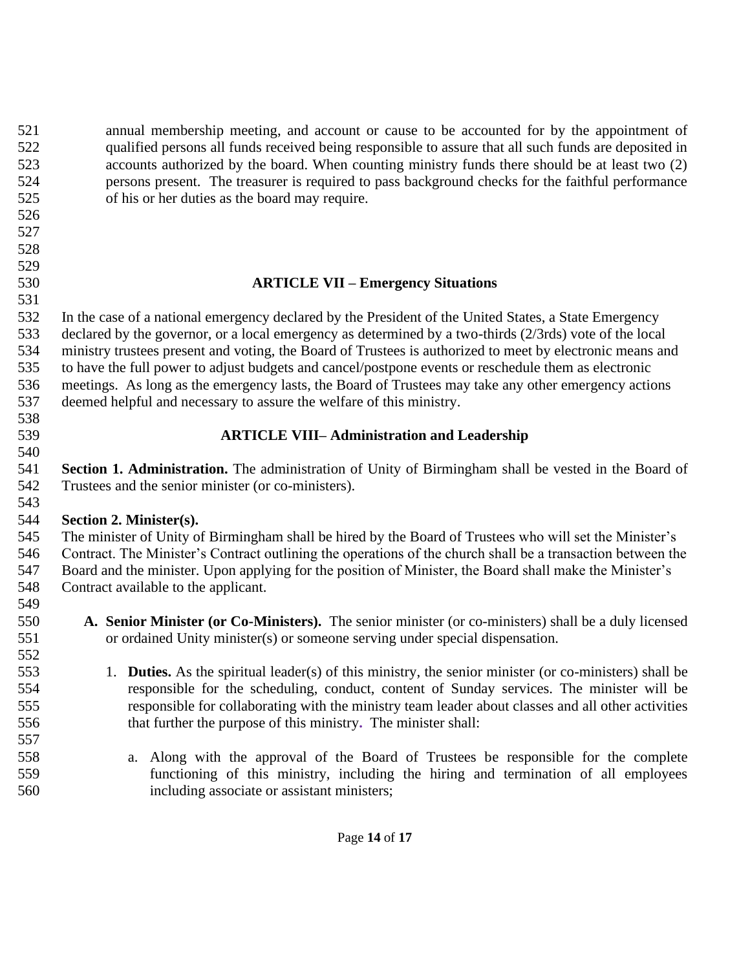annual membership meeting, and account or cause to be accounted for by the appointment of qualified persons all funds received being responsible to assure that all such funds are deposited in accounts authorized by the board. When counting ministry funds there should be at least two (2) persons present. The treasurer is required to pass background checks for the faithful performance of his or her duties as the board may require. **ARTICLE VII – Emergency Situations** In the case of a national emergency declared by the President of the United States, a State Emergency declared by the governor, or a local emergency as determined by a two-thirds (2/3rds) vote of the local ministry trustees present and voting, the Board of Trustees is authorized to meet by electronic means and to have the full power to adjust budgets and cancel/postpone events or reschedule them as electronic meetings. As long as the emergency lasts, the Board of Trustees may take any other emergency actions deemed helpful and necessary to assure the welfare of this ministry. **ARTICLE VIII– Administration and Leadership Section 1. Administration.** The administration of Unity of Birmingham shall be vested in the Board of Trustees and the senior minister (or co-ministers). **Section 2. Minister(s).** The minister of Unity of Birmingham shall be hired by the Board of Trustees who will set the Minister's Contract. The Minister's Contract outlining the operations of the church shall be a transaction between the Board and the minister. Upon applying for the position of Minister, the Board shall make the Minister's Contract available to the applicant. **A. Senior Minister (or Co-Ministers).** The senior minister (or co-ministers) shall be a duly licensed or ordained Unity minister(s) or someone serving under special dispensation. 1. **Duties.** As the spiritual leader(s) of this ministry, the senior minister (or co-ministers) shall be responsible for the scheduling, conduct, content of Sunday services. The minister will be

- responsible for collaborating with the ministry team leader about classes and all other activities that further the purpose of this ministry**.** The minister shall:
- a. Along with the approval of the Board of Trustees be responsible for the complete functioning of this ministry, including the hiring and termination of all employees including associate or assistant ministers;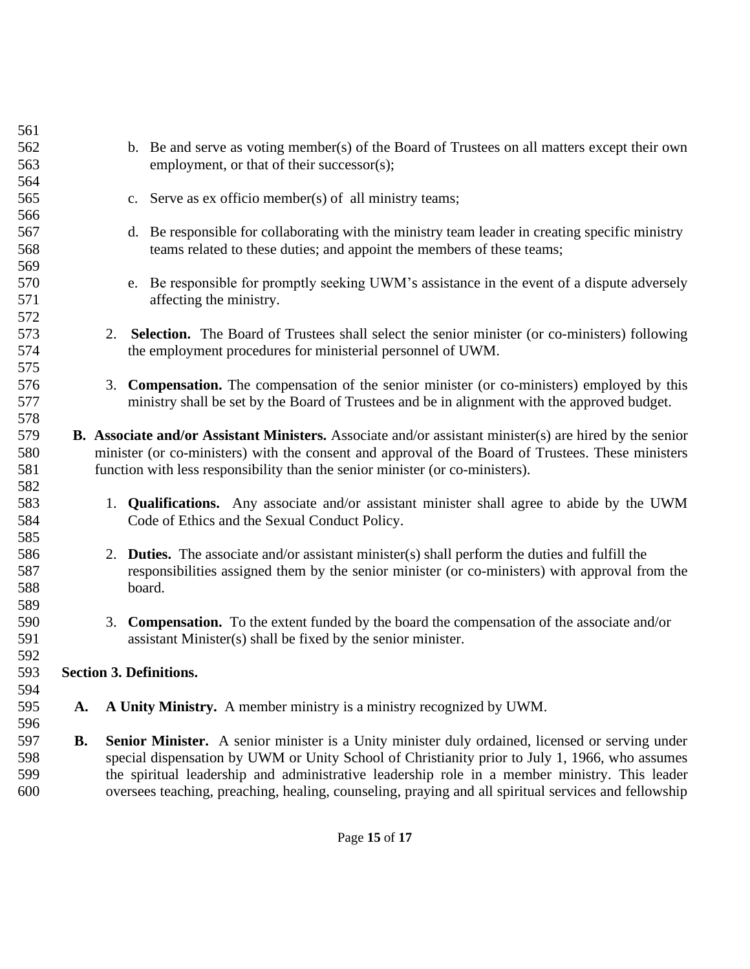| 561 |           |    |                                                                                                                |
|-----|-----------|----|----------------------------------------------------------------------------------------------------------------|
| 562 |           |    | b. Be and serve as voting member(s) of the Board of Trustees on all matters except their own                   |
| 563 |           |    | employment, or that of their successor(s);                                                                     |
| 564 |           |    |                                                                                                                |
| 565 |           |    | c. Serve as ex officio member(s) of all ministry teams;                                                        |
| 566 |           |    |                                                                                                                |
| 567 |           |    | d. Be responsible for collaborating with the ministry team leader in creating specific ministry                |
| 568 |           |    | teams related to these duties; and appoint the members of these teams;                                         |
| 569 |           |    |                                                                                                                |
| 570 |           |    | e. Be responsible for promptly seeking UWM's assistance in the event of a dispute adversely                    |
| 571 |           |    | affecting the ministry.                                                                                        |
| 572 |           |    |                                                                                                                |
| 573 |           | 2. | <b>Selection.</b> The Board of Trustees shall select the senior minister (or co-ministers) following           |
| 574 |           |    | the employment procedures for ministerial personnel of UWM.                                                    |
| 575 |           |    |                                                                                                                |
| 576 |           |    | 3. Compensation. The compensation of the senior minister (or co-ministers) employed by this                    |
| 577 |           |    | ministry shall be set by the Board of Trustees and be in alignment with the approved budget.                   |
| 578 |           |    |                                                                                                                |
| 579 |           |    | <b>B.</b> Associate and/or Assistant Ministers. Associate and/or assistant minister(s) are hired by the senior |
| 580 |           |    | minister (or co-ministers) with the consent and approval of the Board of Trustees. These ministers             |
| 581 |           |    | function with less responsibility than the senior minister (or co-ministers).                                  |
| 582 |           |    |                                                                                                                |
| 583 |           |    | 1. <b>Qualifications.</b> Any associate and/or assistant minister shall agree to abide by the UWM              |
| 584 |           |    | Code of Ethics and the Sexual Conduct Policy.                                                                  |
| 585 |           |    |                                                                                                                |
| 586 |           |    | 2. <b>Duties.</b> The associate and/or assistant minister(s) shall perform the duties and fulfill the          |
| 587 |           |    | responsibilities assigned them by the senior minister (or co-ministers) with approval from the                 |
| 588 |           |    | board.                                                                                                         |
| 589 |           |    |                                                                                                                |
| 590 |           |    | 3. Compensation. To the extent funded by the board the compensation of the associate and/or                    |
| 591 |           |    | assistant Minister(s) shall be fixed by the senior minister.                                                   |
| 592 |           |    |                                                                                                                |
| 593 |           |    | <b>Section 3. Definitions.</b>                                                                                 |
| 594 |           |    |                                                                                                                |
| 595 | A.        |    | A Unity Ministry. A member ministry is a ministry recognized by UWM.                                           |
| 596 |           |    |                                                                                                                |
| 597 | <b>B.</b> |    | Senior Minister. A senior minister is a Unity minister duly ordained, licensed or serving under                |
| 598 |           |    | special dispensation by UWM or Unity School of Christianity prior to July 1, 1966, who assumes                 |
| 599 |           |    | the spiritual leadership and administrative leadership role in a member ministry. This leader                  |
| 600 |           |    | oversees teaching, preaching, healing, counseling, praying and all spiritual services and fellowship           |
|     |           |    |                                                                                                                |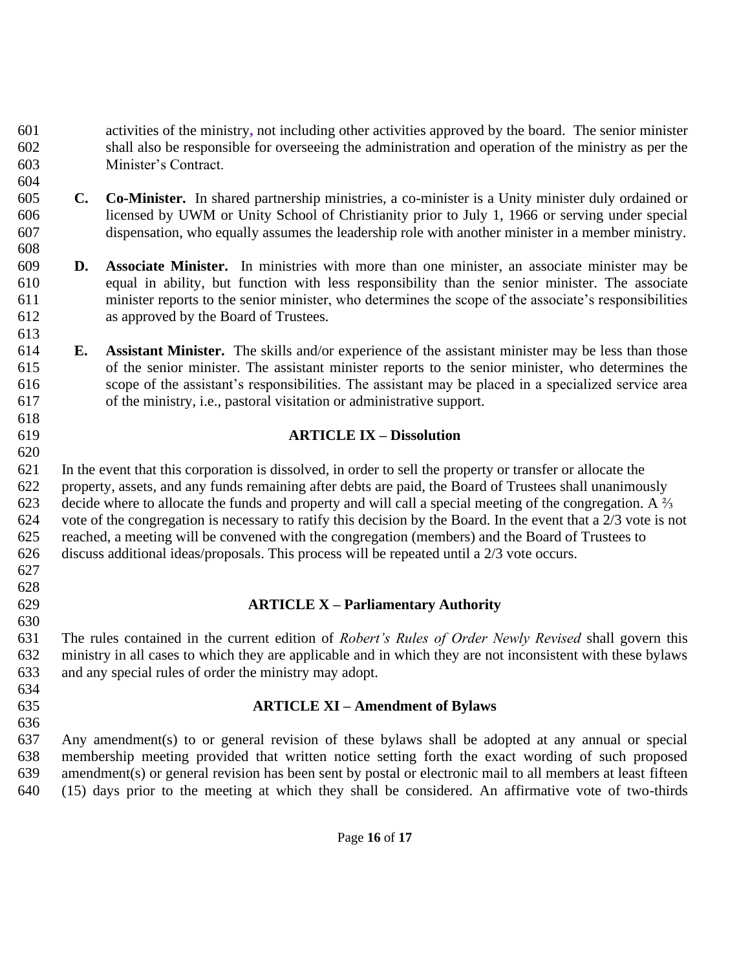activities of the ministry**,** not including other activities approved by the board. The senior minister shall also be responsible for overseeing the administration and operation of the ministry as per the Minister's Contract.

- **C. Co-Minister.** In shared partnership ministries, a co-minister is a Unity minister duly ordained or licensed by UWM or Unity School of Christianity prior to July 1, 1966 or serving under special dispensation, who equally assumes the leadership role with another minister in a member ministry.
- **D. Associate Minister.** In ministries with more than one minister, an associate minister may be equal in ability, but function with less responsibility than the senior minister. The associate minister reports to the senior minister, who determines the scope of the associate's responsibilities as approved by the Board of Trustees.
- **E. Assistant Minister.** The skills and/or experience of the assistant minister may be less than those of the senior minister. The assistant minister reports to the senior minister, who determines the scope of the assistant's responsibilities. The assistant may be placed in a specialized service area of the ministry, i.e., pastoral visitation or administrative support.

#### **ARTICLE IX – Dissolution**

 In the event that this corporation is dissolved, in order to sell the property or transfer or allocate the property, assets, and any funds remaining after debts are paid, the Board of Trustees shall unanimously 623 decide where to allocate the funds and property and will call a special meeting of the congregation. A  $\frac{2}{3}$  vote of the congregation is necessary to ratify this decision by the Board. In the event that a 2/3 vote is not reached, a meeting will be convened with the congregation (members) and the Board of Trustees to discuss additional ideas/proposals. This process will be repeated until a 2/3 vote occurs. 

# **ARTICLE X – Parliamentary Authority**

 The rules contained in the current edition of *Robert's Rules of Order Newly Revised* shall govern this ministry in all cases to which they are applicable and in which they are not inconsistent with these bylaws and any special rules of order the ministry may adopt.

#### **ARTICLE XI – Amendment of Bylaws**

 Any amendment(s) to or general revision of these bylaws shall be adopted at any annual or special membership meeting provided that written notice setting forth the exact wording of such proposed amendment(s) or general revision has been sent by postal or electronic mail to all members at least fifteen (15) days prior to the meeting at which they shall be considered. An affirmative vote of two-thirds